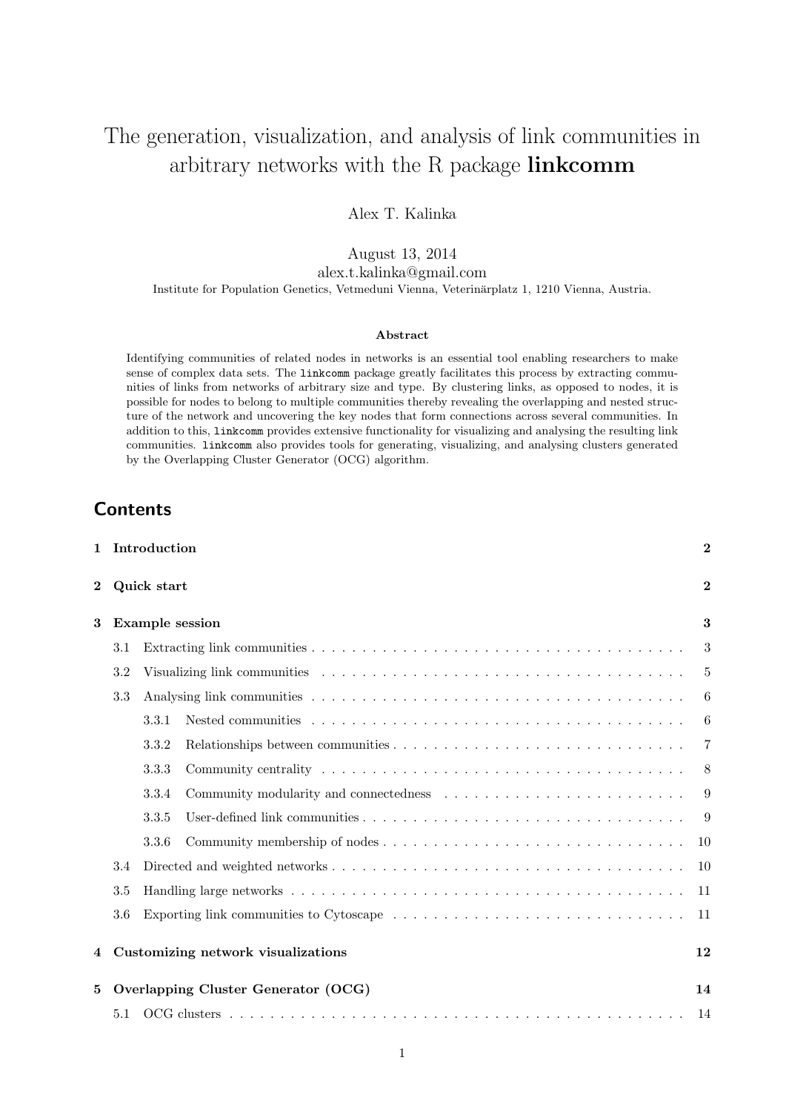# The generation, visualization, and analysis of link communities in arbitrary networks with the R package linkcomm

Alex T. Kalinka

August 13, 2014

alex.t.kalinka@gmail.com

Institute for Population Genetics, Vetmeduni Vienna, Veterinärplatz 1, 1210 Vienna, Austria.

#### Abstract

Identifying communities of related nodes in networks is an essential tool enabling researchers to make sense of complex data sets. The linkcomm package greatly facilitates this process by extracting communities of links from networks of arbitrary size and type. By clustering links, as opposed to nodes, it is possible for nodes to belong to multiple communities thereby revealing the overlapping and nested structure of the network and uncovering the key nodes that form connections across several communities. In addition to this, linkcomm provides extensive functionality for visualizing and analysing the resulting link communities. linkcomm also provides tools for generating, visualizing, and analysing clusters generated by the Overlapping Cluster Generator (OCG) algorithm.

1 Introduction 2

## **Contents**

|                                               |                                                                                                                                                               | $\overline{2}$                                     |  |
|-----------------------------------------------|---------------------------------------------------------------------------------------------------------------------------------------------------------------|----------------------------------------------------|--|
| <b>Example session</b><br>3                   |                                                                                                                                                               |                                                    |  |
| 3.1                                           |                                                                                                                                                               | 3                                                  |  |
| 3.2                                           |                                                                                                                                                               | -5                                                 |  |
| 3.3                                           |                                                                                                                                                               | 6                                                  |  |
|                                               | Nested communities $\ldots$ , $\ldots$ , $\ldots$ , $\ldots$ , $\ldots$ , $\ldots$ , $\ldots$ , $\ldots$ , $\ldots$ , $\ldots$ , $\ldots$ , $\ldots$<br>3.3.1 | 6                                                  |  |
|                                               | 3.3.2                                                                                                                                                         | $\overline{7}$                                     |  |
|                                               | 3.3.3                                                                                                                                                         | 8                                                  |  |
|                                               | 3.3.4                                                                                                                                                         | 9                                                  |  |
|                                               | 3.3.5                                                                                                                                                         | 9                                                  |  |
|                                               | 3.3.6                                                                                                                                                         | 10                                                 |  |
| 3.4                                           |                                                                                                                                                               | <sup>10</sup>                                      |  |
|                                               |                                                                                                                                                               | -11                                                |  |
| 3.6                                           |                                                                                                                                                               | -11                                                |  |
|                                               |                                                                                                                                                               |                                                    |  |
| Customizing network visualizations<br>12<br>4 |                                                                                                                                                               |                                                    |  |
| 14<br>5                                       |                                                                                                                                                               |                                                    |  |
| 5.1                                           |                                                                                                                                                               | 14                                                 |  |
|                                               | 3.5                                                                                                                                                           | Quick start<br>Overlapping Cluster Generator (OCG) |  |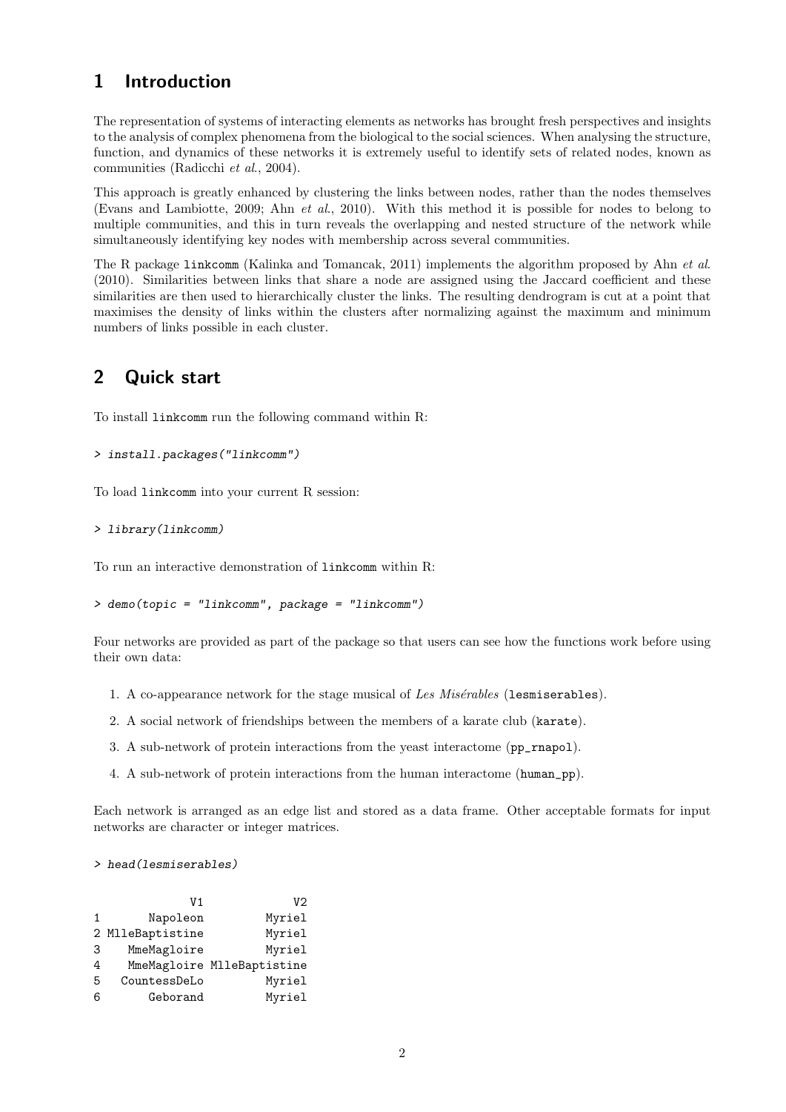## 1 Introduction

The representation of systems of interacting elements as networks has brought fresh perspectives and insights to the analysis of complex phenomena from the biological to the social sciences. When analysing the structure, function, and dynamics of these networks it is extremely useful to identify sets of related nodes, known as communities (Radicchi et al., 2004).

This approach is greatly enhanced by clustering the links between nodes, rather than the nodes themselves (Evans and Lambiotte, 2009; Ahn et al., 2010). With this method it is possible for nodes to belong to multiple communities, and this in turn reveals the overlapping and nested structure of the network while simultaneously identifying key nodes with membership across several communities.

The R package linkcomm (Kalinka and Tomancak, 2011) implements the algorithm proposed by Ahn et al. (2010). Similarities between links that share a node are assigned using the Jaccard coefficient and these similarities are then used to hierarchically cluster the links. The resulting dendrogram is cut at a point that maximises the density of links within the clusters after normalizing against the maximum and minimum numbers of links possible in each cluster.

## 2 Quick start

To install linkcomm run the following command within R:

```
> install.packages("linkcomm")
```
To load linkcomm into your current R session:

> library(linkcomm)

To run an interactive demonstration of linkcomm within R:

```
> demo(topic = "linkcomm", package = "linkcomm")
```
Four networks are provided as part of the package so that users can see how the functions work before using their own data:

- 1. A co-appearance network for the stage musical of Les  $Missanables$  (lesmiserables).
- 2. A social network of friendships between the members of a karate club (karate).
- 3. A sub-network of protein interactions from the yeast interactome (pp\_rnapol).
- 4. A sub-network of protein interactions from the human interactome (human\_pp).

Each network is arranged as an edge list and stored as a data frame. Other acceptable formats for input networks are character or integer matrices.

```
> head(lesmiserables)
```

|   | V1               | V2                         |
|---|------------------|----------------------------|
| 1 | Napoleon         | Myriel                     |
|   | 2 MlleBaptistine | Myriel                     |
| 3 | MmeMagloire      | Myriel                     |
| 4 |                  | MmeMagloire MlleBaptistine |
| 5 | CountessDeLo     | Myriel                     |
| 6 | Geborand         | Myriel                     |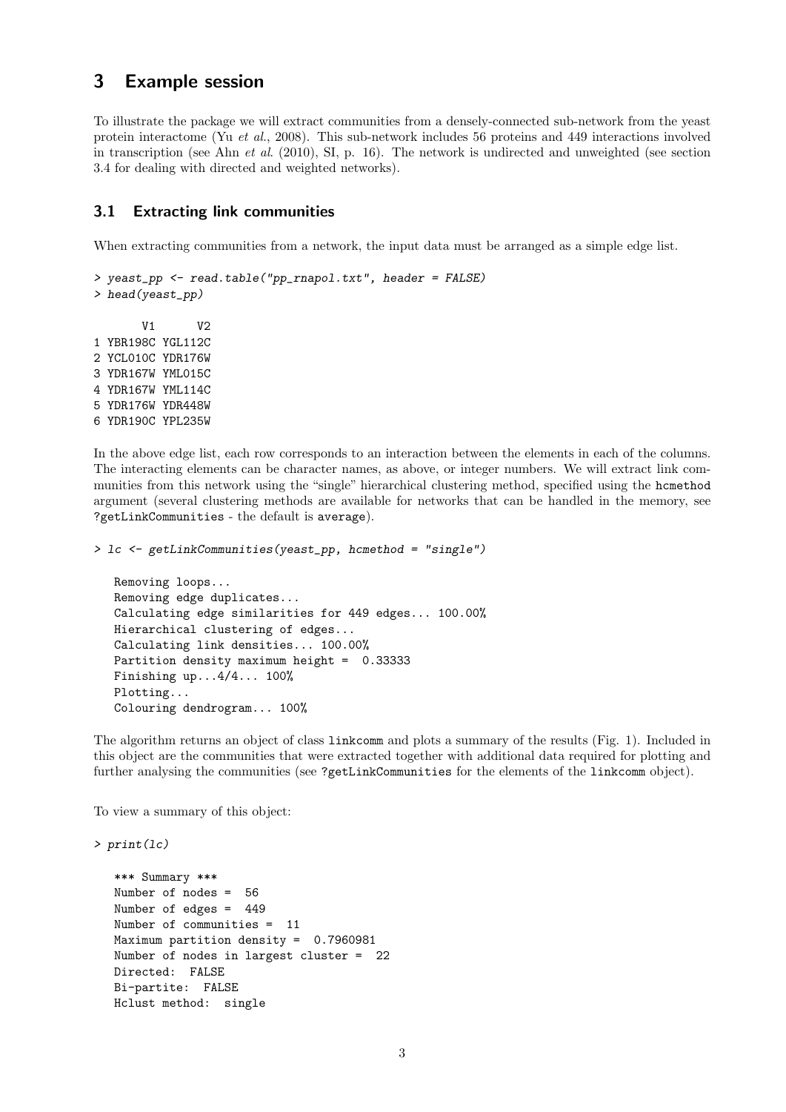## 3 Example session

To illustrate the package we will extract communities from a densely-connected sub-network from the yeast protein interactome (Yu et al., 2008). This sub-network includes 56 proteins and 449 interactions involved in transcription (see Ahn et al.  $(2010)$ , SI, p. 16). The network is undirected and unweighted (see section 3.4 for dealing with directed and weighted networks).

### 3.1 Extracting link communities

When extracting communities from a network, the input data must be arranged as a simple edge list.

```
> yeast_pp <- read.table("pp_rnapol.txt", header = FALSE)
> head(yeast_pp)
       V1 V2
1 YBR198C YGL112C
2 YCL010C YDR176W
3 YDR167W YML015C
4 YDR167W YML114C
5 YDR176W YDR448W
6 YDR190C YPL235W
```
In the above edge list, each row corresponds to an interaction between the elements in each of the columns. The interacting elements can be character names, as above, or integer numbers. We will extract link communities from this network using the "single" hierarchical clustering method, specified using the hcmethod argument (several clustering methods are available for networks that can be handled in the memory, see ?getLinkCommunities - the default is average).

```
> lc <- getLinkCommunities(yeast_pp, hcmethod = "single")
```

```
Removing loops...
Removing edge duplicates...
Calculating edge similarities for 449 edges... 100.00%
Hierarchical clustering of edges...
Calculating link densities... 100.00%
Partition density maximum height = 0.33333
Finishing up...4/4... 100%
Plotting...
Colouring dendrogram... 100%
```
The algorithm returns an object of class linkcomm and plots a summary of the results (Fig. 1). Included in this object are the communities that were extracted together with additional data required for plotting and further analysing the communities (see ?getLinkCommunities for the elements of the linkcomm object).

To view a summary of this object:

```
> print(lc)
```

```
*** Summary ***
Number of nodes = 56
Number of edges = 449
Number of communities = 11
Maximum partition density = 0.7960981
Number of nodes in largest cluster = 22
Directed: FALSE
Bi-partite: FALSE
Hclust method: single
```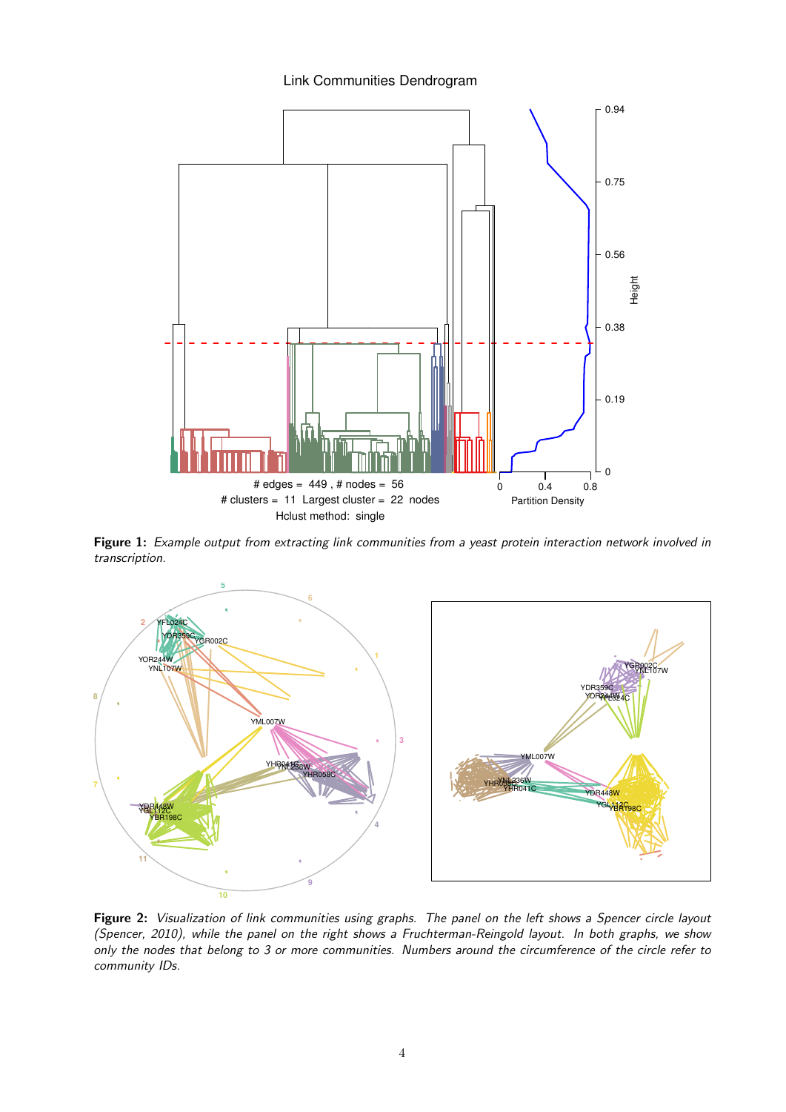### Link Communities Dendrogram



Figure 1: Example output from extracting link communities from a yeast protein interaction network involved in transcription.



Figure 2: Visualization of link communities using graphs. The panel on the left shows a Spencer circle layout (Spencer, 2010), while the panel on the right shows a Fruchterman-Reingold layout. In both graphs, we show only the nodes that belong to 3 or more communities. Numbers around the circumference of the circle refer to community IDs.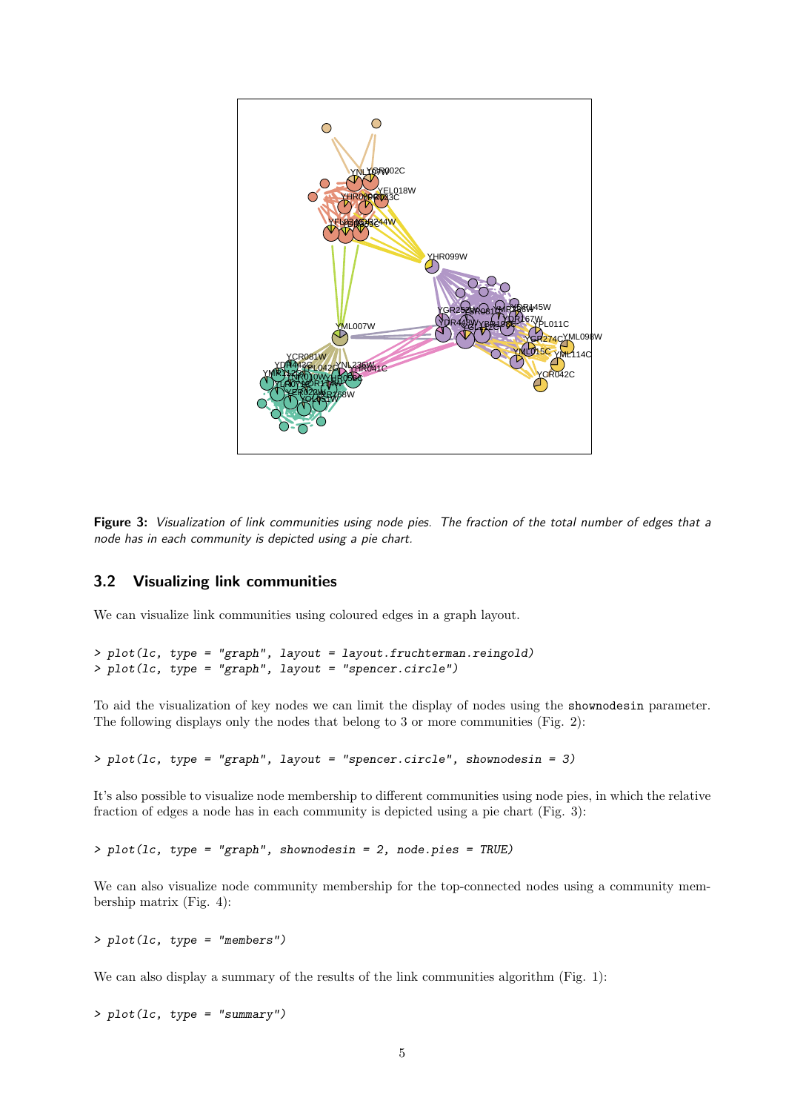

Figure 3: Visualization of link communities using node pies. The fraction of the total number of edges that a node has in each community is depicted using a pie chart.

### 3.2 Visualizing link communities

We can visualize link communities using coloured edges in a graph layout.

```
> plot(lc, type = "graph", layout = layout.fruchterman.reingold)
> plot(lc, type = "graph", layout = "spencer.circle")
```
To aid the visualization of key nodes we can limit the display of nodes using the shownodesin parameter. The following displays only the nodes that belong to 3 or more communities (Fig. 2):

 $> plot(lc, type = "graph", layout = "spencer.circle", shown codes in = 3)$ 

It's also possible to visualize node membership to different communities using node pies, in which the relative fraction of edges a node has in each community is depicted using a pie chart (Fig. 3):

> plot(lc, type = "graph", shownodesin = 2, node.pies = TRUE)

We can also visualize node community membership for the top-connected nodes using a community membership matrix (Fig. 4):

> plot(lc, type = "members")

We can also display a summary of the results of the link communities algorithm (Fig. 1):

> plot(lc, type = "summary")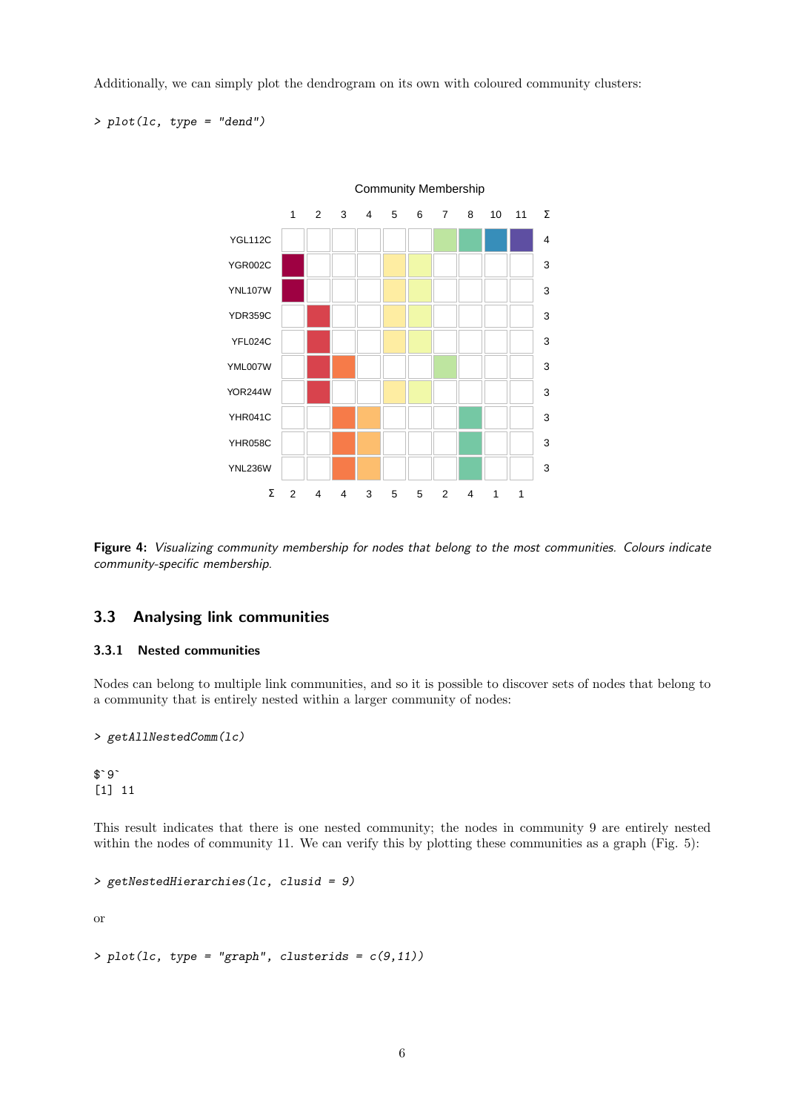Additionally, we can simply plot the dendrogram on its own with coloured community clusters:

> plot(lc, type = "dend")



Figure 4: Visualizing community membership for nodes that belong to the most communities. Colours indicate community-specific membership.

## 3.3 Analysing link communities

#### 3.3.1 Nested communities

Nodes can belong to multiple link communities, and so it is possible to discover sets of nodes that belong to a community that is entirely nested within a larger community of nodes:

```
> getAllNestedComm(lc)
```
> ge<br>\$`9` [1] 11

This result indicates that there is one nested community; the nodes in community 9 are entirely nested within the nodes of community 11. We can verify this by plotting these communities as a graph (Fig. 5):

```
> getNestedHierarchies(lc, clusid = 9)
```
or

```
> plot(lc, type = "graph", clusters = c(9,11))
```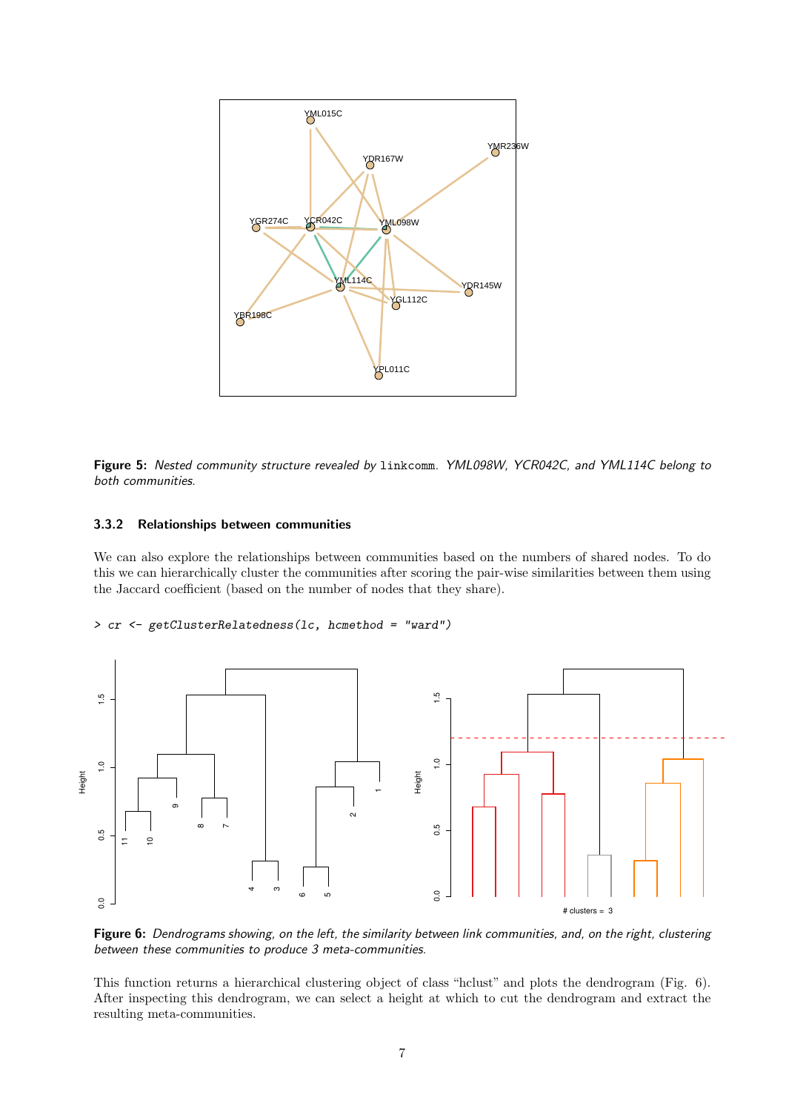

Figure 5: Nested community structure revealed by linkcomm. YML098W, YCR042C, and YML114C belong to both communities.

#### 3.3.2 Relationships between communities

We can also explore the relationships between communities based on the numbers of shared nodes. To do this we can hierarchically cluster the communities after scoring the pair-wise similarities between them using the Jaccard coefficient (based on the number of nodes that they share).

> cr <- getClusterRelatedness(lc, hcmethod = "ward")



Figure 6: Dendrograms showing, on the left, the similarity between link communities, and, on the right, clustering between these communities to produce 3 meta-communities.

This function returns a hierarchical clustering object of class "hclust" and plots the dendrogram (Fig. 6). After inspecting this dendrogram, we can select a height at which to cut the dendrogram and extract the resulting meta-communities.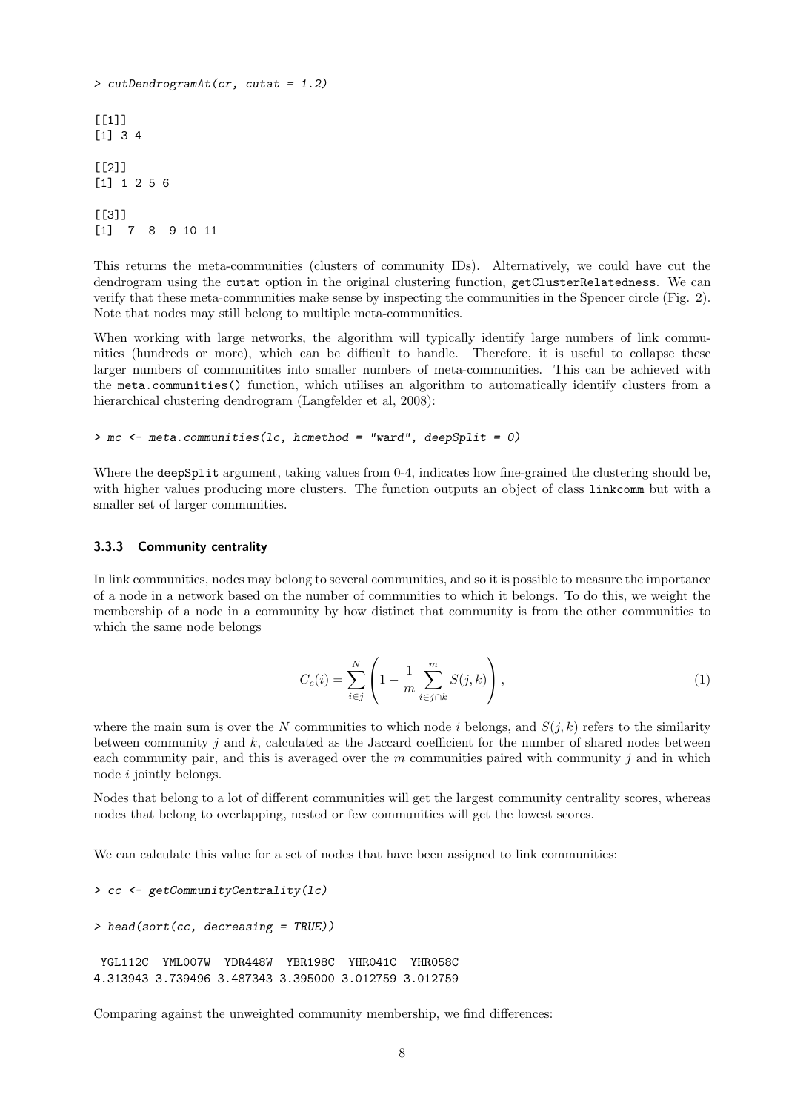```
> cutDendrogramAt(cr, cutat = 1.2)
[1]]
[1] 3 4
[[2]]
[1] 1 2 5 6
[[3]]
[1] 7 8 9 10 11
```
This returns the meta-communities (clusters of community IDs). Alternatively, we could have cut the dendrogram using the cutat option in the original clustering function, getClusterRelatedness. We can verify that these meta-communities make sense by inspecting the communities in the Spencer circle (Fig. 2). Note that nodes may still belong to multiple meta-communities.

When working with large networks, the algorithm will typically identify large numbers of link communities (hundreds or more), which can be difficult to handle. Therefore, it is useful to collapse these larger numbers of communities into smaller numbers of meta-communities. This can be achieved with the meta.communities() function, which utilises an algorithm to automatically identify clusters from a hierarchical clustering dendrogram (Langfelder et al, 2008):

```
>mc < - meta.communities(lc, hcmethod = "ward", deepSplit = 0)
```
Where the deepSplit argument, taking values from 0-4, indicates how fine-grained the clustering should be, with higher values producing more clusters. The function outputs an object of class linkcomm but with a smaller set of larger communities.

#### 3.3.3 Community centrality

In link communities, nodes may belong to several communities, and so it is possible to measure the importance of a node in a network based on the number of communities to which it belongs. To do this, we weight the membership of a node in a community by how distinct that community is from the other communities to which the same node belongs

$$
C_c(i) = \sum_{i \in j}^{N} \left( 1 - \frac{1}{m} \sum_{i \in j \cap k}^{m} S(j, k) \right),
$$
 (1)

where the main sum is over the N communities to which node i belongs, and  $S(i, k)$  refers to the similarity between community j and  $k$ , calculated as the Jaccard coefficient for the number of shared nodes between each community pair, and this is averaged over the  $m$  communities paired with community j and in which node i jointly belongs.

Nodes that belong to a lot of different communities will get the largest community centrality scores, whereas nodes that belong to overlapping, nested or few communities will get the lowest scores.

We can calculate this value for a set of nodes that have been assigned to link communities:

```
> cc <- getCommunityCentrality(lc)
```

```
> head(sort(cc, decreasing = TRUE))
```

```
YGL112C YML007W YDR448W YBR198C YHR041C YHR058C
4.313943 3.739496 3.487343 3.395000 3.012759 3.012759
```
Comparing against the unweighted community membership, we find differences: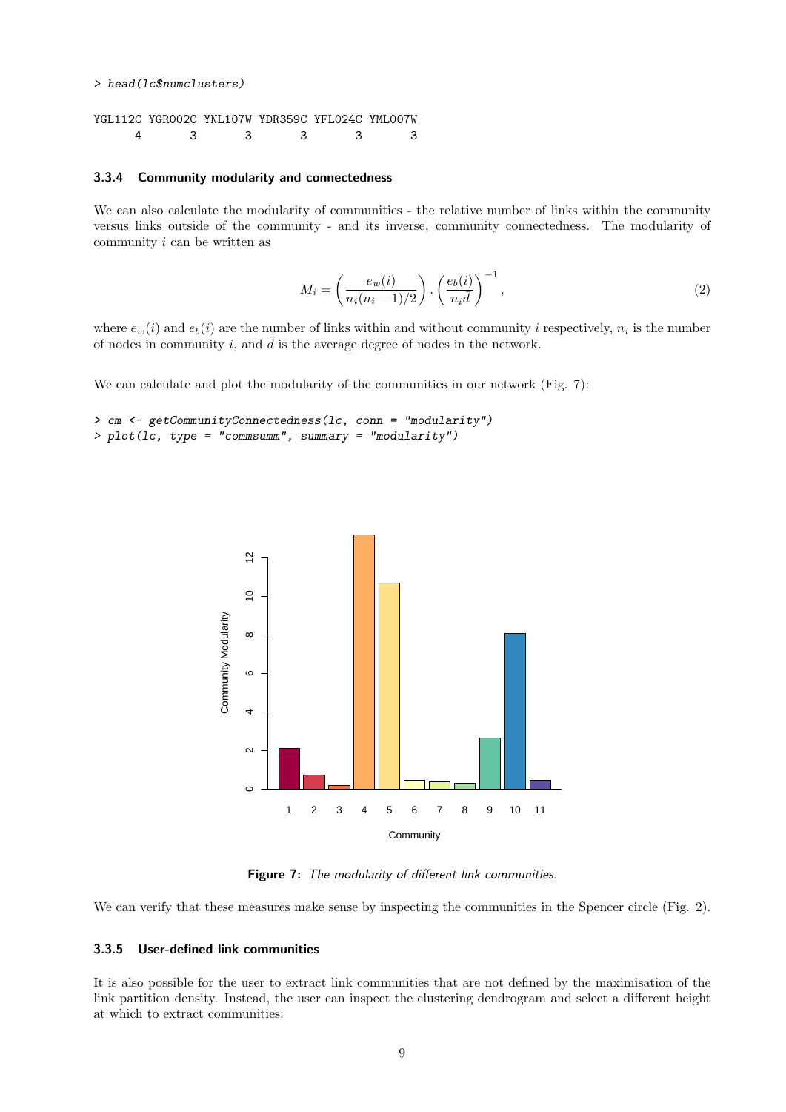```
> head(lc$numclusters)
YGL112C YGR002C YNL107W YDR359C YFL024C YML007W
    4 3 3 3 3 3
```
#### 3.3.4 Community modularity and connectedness

We can also calculate the modularity of communities - the relative number of links within the community versus links outside of the community - and its inverse, community connectedness. The modularity of community i can be written as

$$
M_i = \left(\frac{e_w(i)}{n_i(n_i - 1)/2}\right) \cdot \left(\frac{e_b(i)}{n_i \bar{d}}\right)^{-1},\tag{2}
$$

where  $e_w(i)$  and  $e_b(i)$  are the number of links within and without community i respectively,  $n_i$  is the number of nodes in community i, and  $\bar{d}$  is the average degree of nodes in the network.

We can calculate and plot the modularity of the communities in our network (Fig. 7):

```
> cm <- getCommunityConnectedness(lc, conn = "modularity")
> plot(lc, type = "commsumm", summary = "modularity")
```


Figure 7: The modularity of different link communities.

We can verify that these measures make sense by inspecting the communities in the Spencer circle (Fig. 2).

### 3.3.5 User-defined link communities

It is also possible for the user to extract link communities that are not defined by the maximisation of the link partition density. Instead, the user can inspect the clustering dendrogram and select a different height at which to extract communities: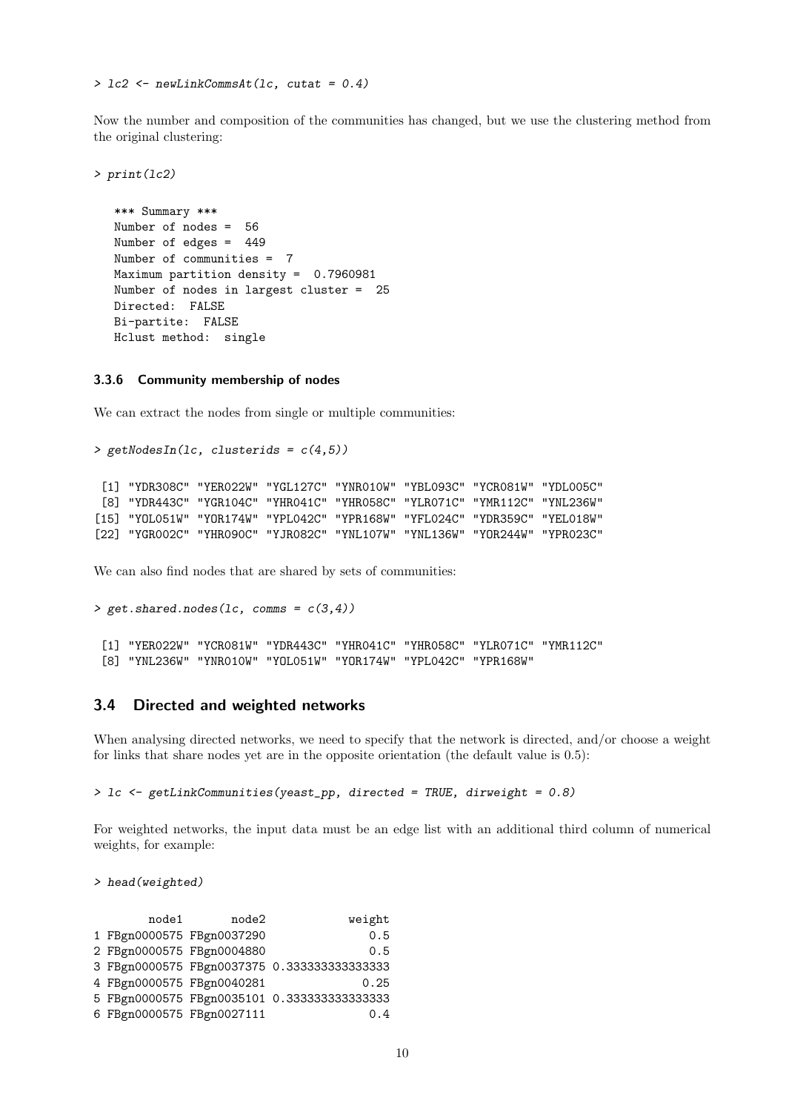> lc2 <- newLinkCommsAt(lc, cutat = 0.4)

Now the number and composition of the communities has changed, but we use the clustering method from the original clustering:

```
> print(lc2)
  *** Summary ***
  Number of nodes = 56
  Number of edges = 449
  Number of communities = 7
  Maximum partition density = 0.7960981
  Number of nodes in largest cluster = 25
  Directed: FALSE
  Bi-partite: FALSE
  Hclust method: single
```
#### 3.3.6 Community membership of nodes

We can extract the nodes from single or multiple communities:

```
> getNodesIn(lc, clusterids = c(4,5))
 [1] "YDR308C" "YER022W" "YGL127C" "YNR010W" "YBL093C" "YCR081W" "YDL005C"
 [8] "YDR443C" "YGR104C" "YHR041C" "YHR058C" "YLR071C" "YMR112C" "YNL236W"
[15] "YOL051W" "YOR174W" "YPL042C" "YPR168W" "YFL024C" "YDR359C" "YEL018W"
[22] "YGR002C" "YHR090C" "YJR082C" "YNL107W" "YNL136W" "YOR244W" "YPR023C"
```
We can also find nodes that are shared by sets of communities:

```
> get. shared.nodes(1c, comms = c(3,4))[1] "YER022W" "YCR081W" "YDR443C" "YHR041C" "YHR058C" "YLR071C" "YMR112C"
 [8] "YNL236W" "YNR010W" "YOL051W" "YOR174W" "YPL042C" "YPR168W"
```
### 3.4 Directed and weighted networks

When analysing directed networks, we need to specify that the network is directed, and/or choose a weight for links that share nodes yet are in the opposite orientation (the default value is 0.5):

```
> 1c <- getLinkCommunities(yeast_pp, directed = TRUE, dirweight = 0.8)
```
For weighted networks, the input data must be an edge list with an additional third column of numerical weights, for example:

> head(weighted)

| node1                     | node2 | weight                                        |
|---------------------------|-------|-----------------------------------------------|
| 1 FBgn0000575 FBgn0037290 |       | 0.5                                           |
| 2 FBgn0000575 FBgn0004880 |       | 0.5                                           |
|                           |       | 3 FBgn0000575 FBgn0037375 0.33333333333333333 |
| 4 FBgn0000575 FBgn0040281 |       | 0.25                                          |
|                           |       | 5 FBgn0000575 FBgn0035101 0.3333333333333333  |
| 6 FBgn0000575 FBgn0027111 |       | 0.4                                           |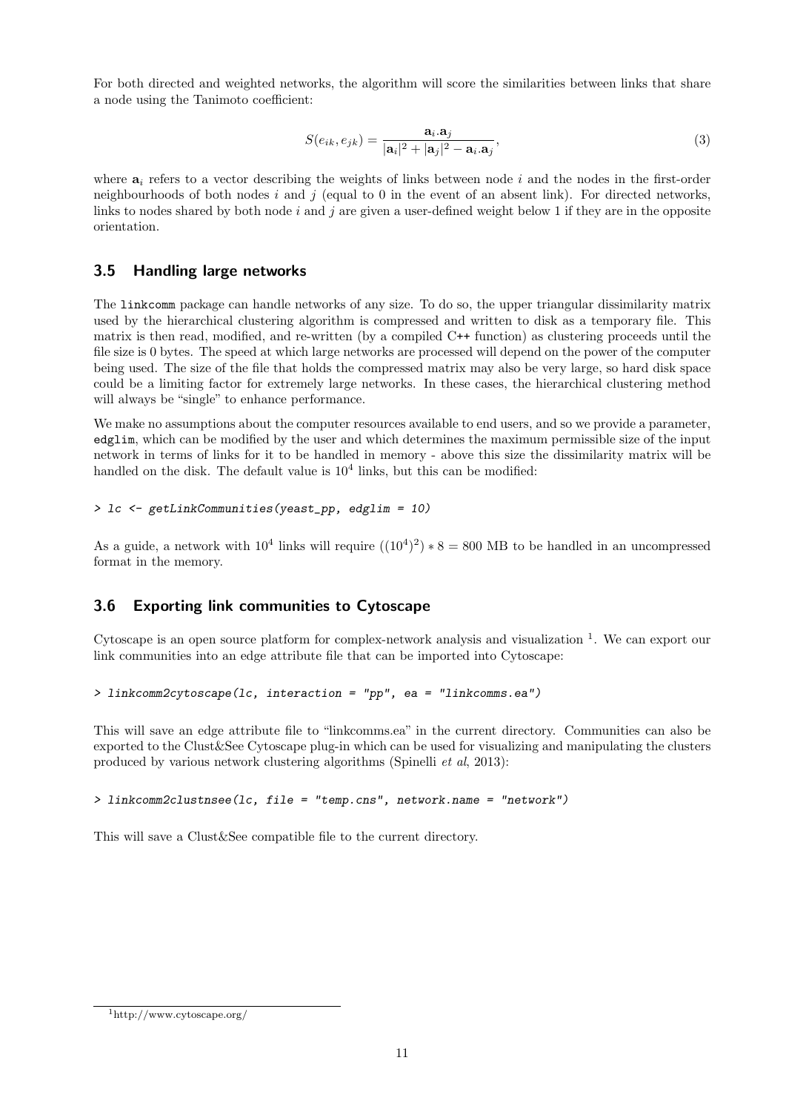For both directed and weighted networks, the algorithm will score the similarities between links that share a node using the Tanimoto coefficient:

$$
S(e_{ik}, e_{jk}) = \frac{\mathbf{a}_i \cdot \mathbf{a}_j}{|\mathbf{a}_i|^2 + |\mathbf{a}_j|^2 - \mathbf{a}_i \cdot \mathbf{a}_j},\tag{3}
$$

where  $a_i$  refers to a vector describing the weights of links between node i and the nodes in the first-order neighbourhoods of both nodes i and j (equal to 0 in the event of an absent link). For directed networks, links to nodes shared by both node i and j are given a user-defined weight below 1 if they are in the opposite orientation.

### 3.5 Handling large networks

The linkcomm package can handle networks of any size. To do so, the upper triangular dissimilarity matrix used by the hierarchical clustering algorithm is compressed and written to disk as a temporary file. This matrix is then read, modified, and re-written (by a compiled C++ function) as clustering proceeds until the file size is 0 bytes. The speed at which large networks are processed will depend on the power of the computer being used. The size of the file that holds the compressed matrix may also be very large, so hard disk space could be a limiting factor for extremely large networks. In these cases, the hierarchical clustering method will always be "single" to enhance performance.

We make no assumptions about the computer resources available to end users, and so we provide a parameter, edglim, which can be modified by the user and which determines the maximum permissible size of the input network in terms of links for it to be handled in memory - above this size the dissimilarity matrix will be handled on the disk. The default value is  $10<sup>4</sup>$  links, but this can be modified:

> lc <- getLinkCommunities(yeast\_pp, edglim = 10)

As a guide, a network with  $10^4$  links will require  $((10^4)^2)*8 = 800$  MB to be handled in an uncompressed format in the memory.

### 3.6 Exporting link communities to Cytoscape

Cytoscape is an open source platform for complex-network analysis and visualization  $<sup>1</sup>$ . We can export our</sup> link communities into an edge attribute file that can be imported into Cytoscape:

> linkcomm2cytoscape(lc, interaction = "pp", ea = "linkcomms.ea")

This will save an edge attribute file to "linkcomms.ea" in the current directory. Communities can also be exported to the Clust&See Cytoscape plug-in which can be used for visualizing and manipulating the clusters produced by various network clustering algorithms (Spinelli et al, 2013):

> linkcomm2clustnsee(lc, file = "temp.cns", network.name = "network")

This will save a Clust&See compatible file to the current directory.

<sup>1</sup>http://www.cytoscape.org/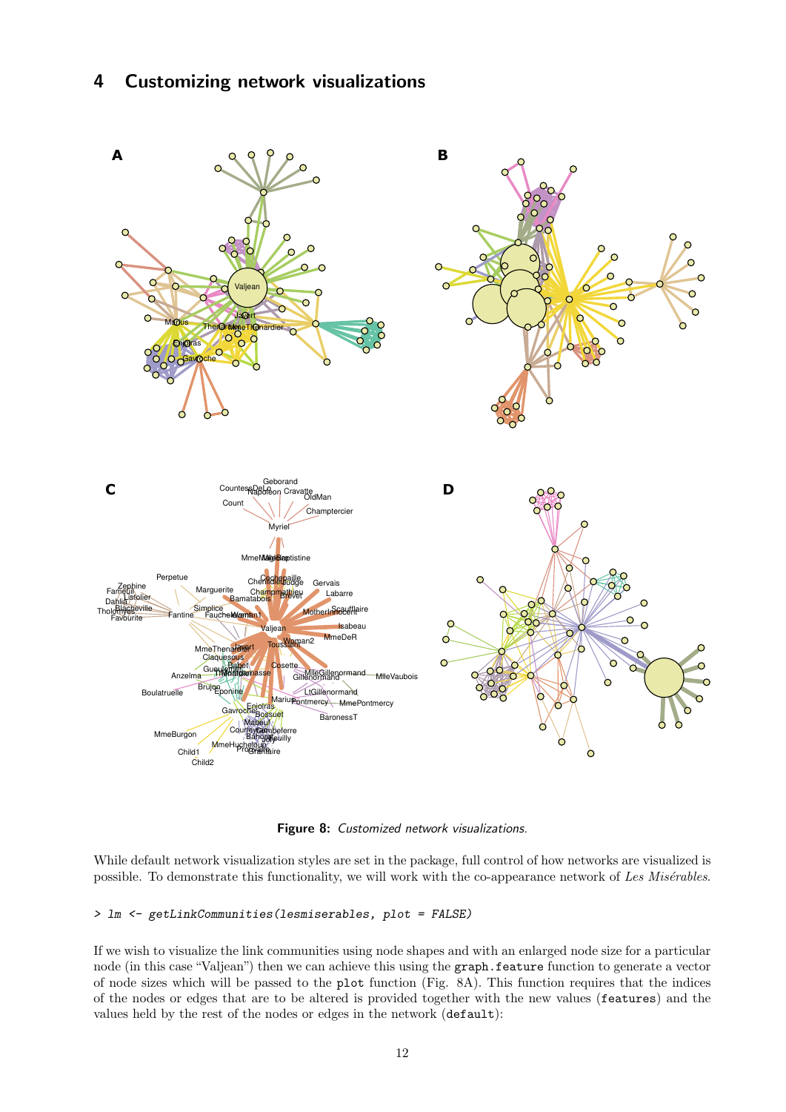## 4 Customizing network visualizations



Figure 8: Customized network visualizations.

While default network visualization styles are set in the package, full control of how networks are visualized is possible. To demonstrate this functionality, we will work with the co-appearance network of Les Misérables.

#### > lm <- getLinkCommunities(lesmiserables, plot = FALSE)

If we wish to visualize the link communities using node shapes and with an enlarged node size for a particular node (in this case "Valjean") then we can achieve this using the graph.feature function to generate a vector of node sizes which will be passed to the plot function (Fig. 8A). This function requires that the indices of the nodes or edges that are to be altered is provided together with the new values (features) and the values held by the rest of the nodes or edges in the network (default):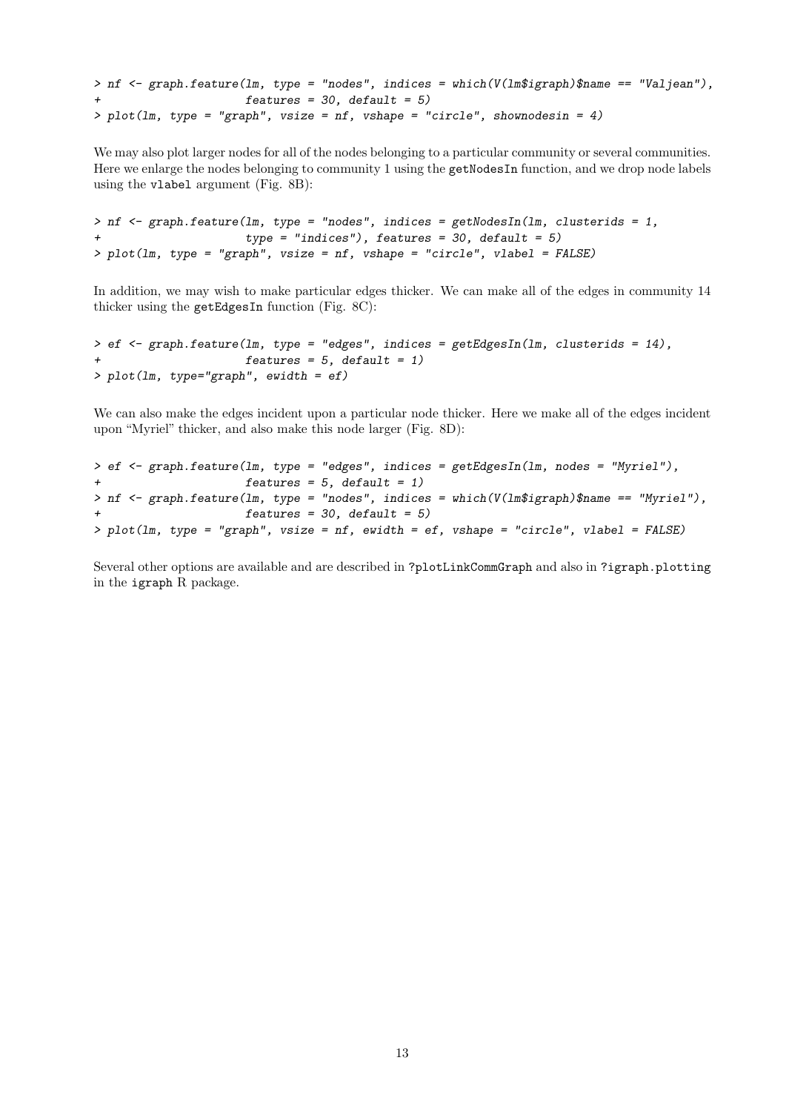```
> nf \leq graph.feature(lm, type = "nodes", indices = which(V(lm$igraph)$name == "Valjean"),
+ features = 30, default = 5)
> plot(1m, type = "graph", visible = nf, vshape = "circle", shownodesin = 4)
```
We may also plot larger nodes for all of the nodes belonging to a particular community or several communities. Here we enlarge the nodes belonging to community 1 using the getNodesIn function, and we drop node labels using the vlabel argument (Fig. 8B):

```
> nf <- graph.feature(lm, type = "nodes", indices = getNodesIn(lm, clusterids = 1,
+ type = "indices"), features = 30, default = 5)
> plot(lm, type = "graph", vsize = nf, vshape = "circle", vlabel = FALSE)
```
In addition, we may wish to make particular edges thicker. We can make all of the edges in community 14 thicker using the getEdgesIn function (Fig. 8C):

```
> ef \leq graph.feature(lm, type = "edges", indices = getEdgesIn(lm, clusterids = 14),
                      features = 5, default = 1)> plot(lm, type="graph", ewidth = ef)
```
We can also make the edges incident upon a particular node thicker. Here we make all of the edges incident upon "Myriel" thicker, and also make this node larger (Fig. 8D):

```
> ef \leq graph.feature(lm, type = "edges", indices = getEdgesIn(lm, nodes = "Myriel"),
+ features = 5, default = 1)
> nf <- graph.feature(lm, type = "nodes", indices = which(V(lm$igraph)$name == "Myriel"),
+ features = 30, default = 5)
> plot(lm, type = "graph", vsize = nf, ewidth = ef, vshape = "circle", vlabel = FALSE)
```
Several other options are available and are described in ?plotLinkCommGraph and also in ?igraph.plotting in the igraph R package.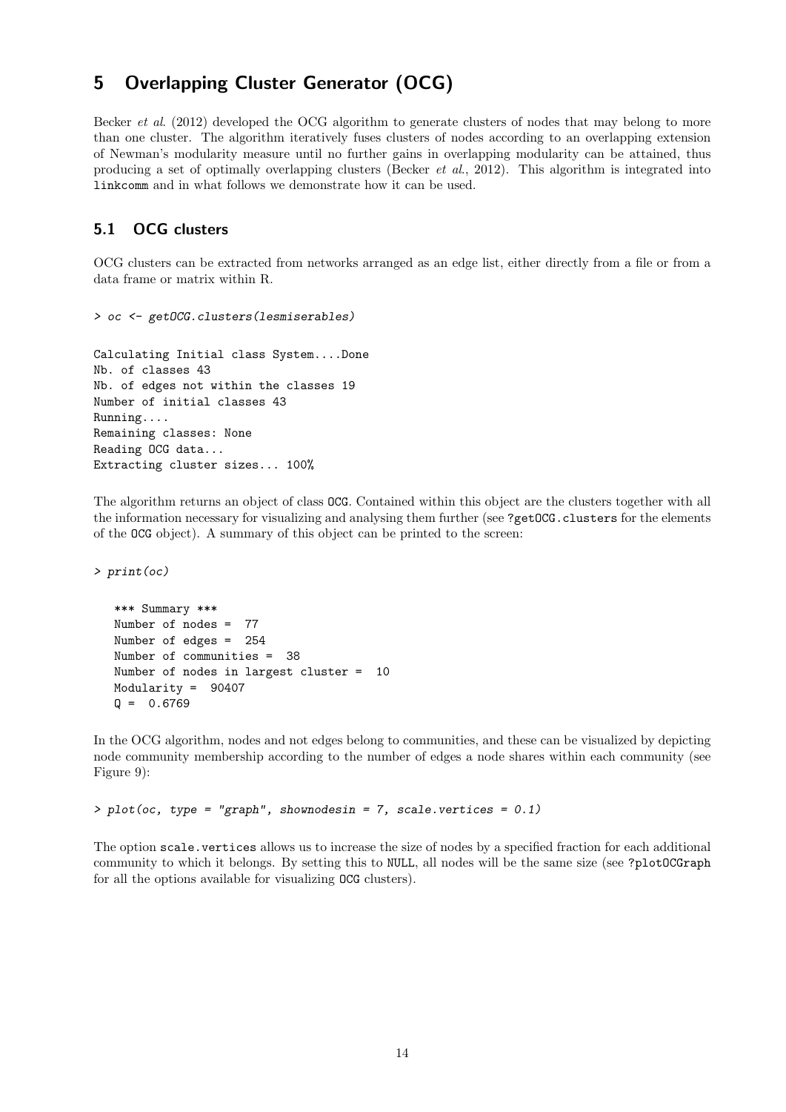## 5 Overlapping Cluster Generator (OCG)

Becker et al. (2012) developed the OCG algorithm to generate clusters of nodes that may belong to more than one cluster. The algorithm iteratively fuses clusters of nodes according to an overlapping extension of Newman's modularity measure until no further gains in overlapping modularity can be attained, thus producing a set of optimally overlapping clusters (Becker et al., 2012). This algorithm is integrated into linkcomm and in what follows we demonstrate how it can be used.

## 5.1 OCG clusters

OCG clusters can be extracted from networks arranged as an edge list, either directly from a file or from a data frame or matrix within R.

```
> oc <- getOCG.clusters(lesmiserables)
```

```
Calculating Initial class System....Done
Nb. of classes 43
Nb. of edges not within the classes 19
Number of initial classes 43
Running....
Remaining classes: None
Reading OCG data...
Extracting cluster sizes... 100%
```
The algorithm returns an object of class OCG. Contained within this object are the clusters together with all the information necessary for visualizing and analysing them further (see ?getOCG.clusters for the elements of the OCG object). A summary of this object can be printed to the screen:

> print(oc)

```
*** Summary ***
Number of nodes = 77
Number of edges = 254
Number of communities = 38
Number of nodes in largest cluster = 10
Modularity = 90407
Q = 0.6769
```
In the OCG algorithm, nodes and not edges belong to communities, and these can be visualized by depicting node community membership according to the number of edges a node shares within each community (see Figure 9):

> plot(oc, type = "graph", shownodesin = 7, scale.vertices = 0.1)

The option scale.vertices allows us to increase the size of nodes by a specified fraction for each additional community to which it belongs. By setting this to NULL, all nodes will be the same size (see ?plotOCGraph for all the options available for visualizing OCG clusters).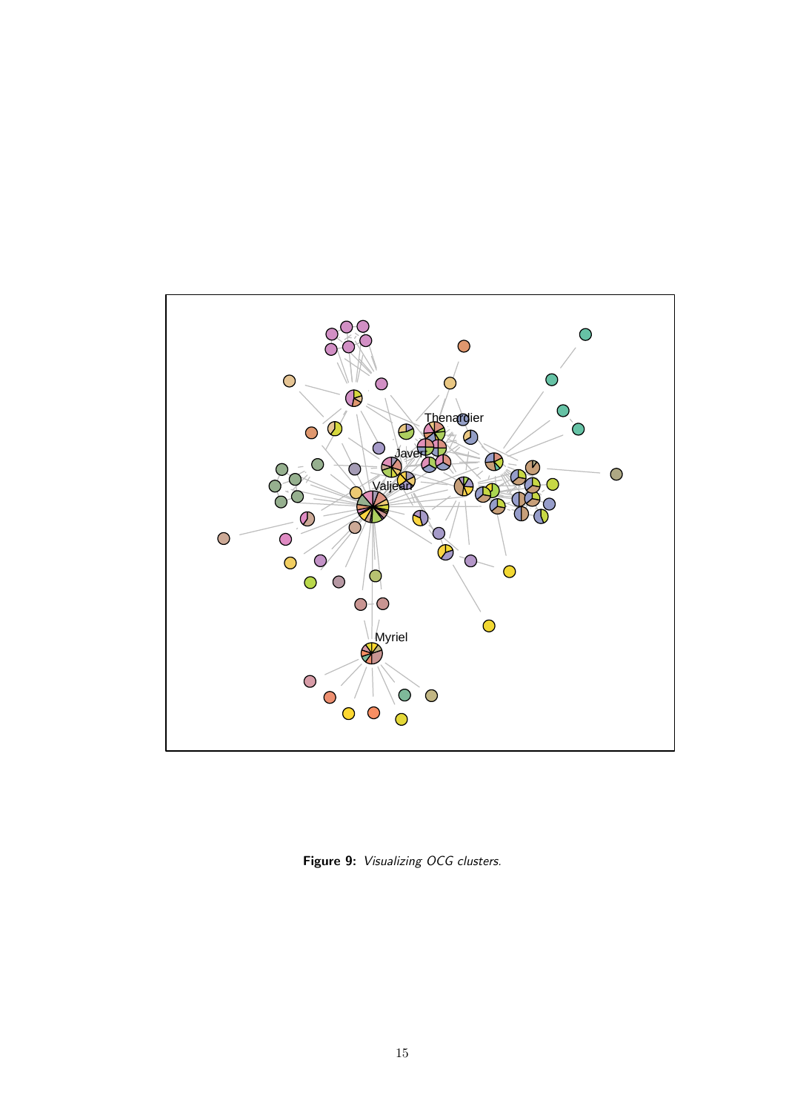

Figure 9: Visualizing OCG clusters.